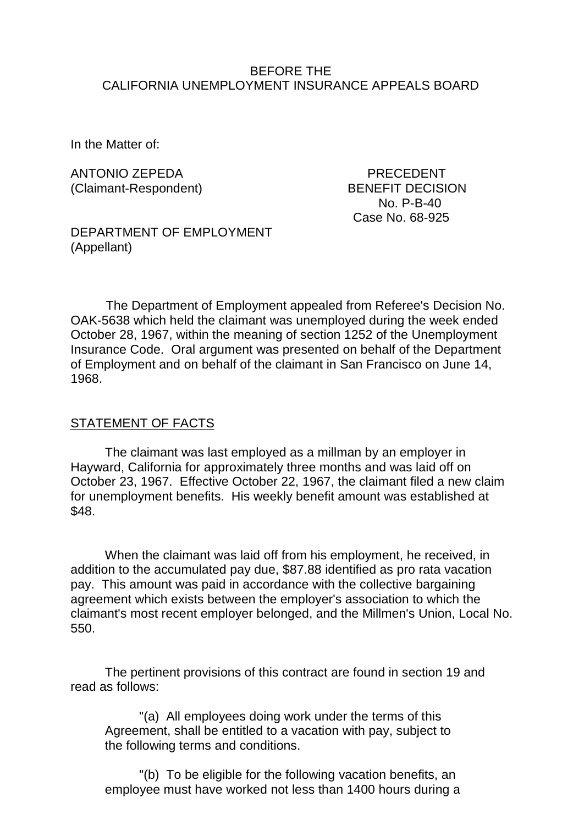### BEFORE THE CALIFORNIA UNEMPLOYMENT INSURANCE APPEALS BOARD

In the Matter of:

ANTONIO ZEPEDA PRECEDENT (Claimant-Respondent) BENEFIT DECISION

 No. P-B-40 Case No. 68-925

## DEPARTMENT OF EMPLOYMENT (Appellant)

The Department of Employment appealed from Referee's Decision No. OAK-5638 which held the claimant was unemployed during the week ended October 28, 1967, within the meaning of section 1252 of the Unemployment Insurance Code. Oral argument was presented on behalf of the Department of Employment and on behalf of the claimant in San Francisco on June 14, 1968.

# STATEMENT OF FACTS

The claimant was last employed as a millman by an employer in Hayward, California for approximately three months and was laid off on October 23, 1967. Effective October 22, 1967, the claimant filed a new claim for unemployment benefits. His weekly benefit amount was established at \$48.

When the claimant was laid off from his employment, he received, in addition to the accumulated pay due, \$87.88 identified as pro rata vacation pay. This amount was paid in accordance with the collective bargaining agreement which exists between the employer's association to which the claimant's most recent employer belonged, and the Millmen's Union, Local No. 550.

The pertinent provisions of this contract are found in section 19 and read as follows:

"(a) All employees doing work under the terms of this Agreement, shall be entitled to a vacation with pay, subject to the following terms and conditions.

"(b) To be eligible for the following vacation benefits, an employee must have worked not less than 1400 hours during a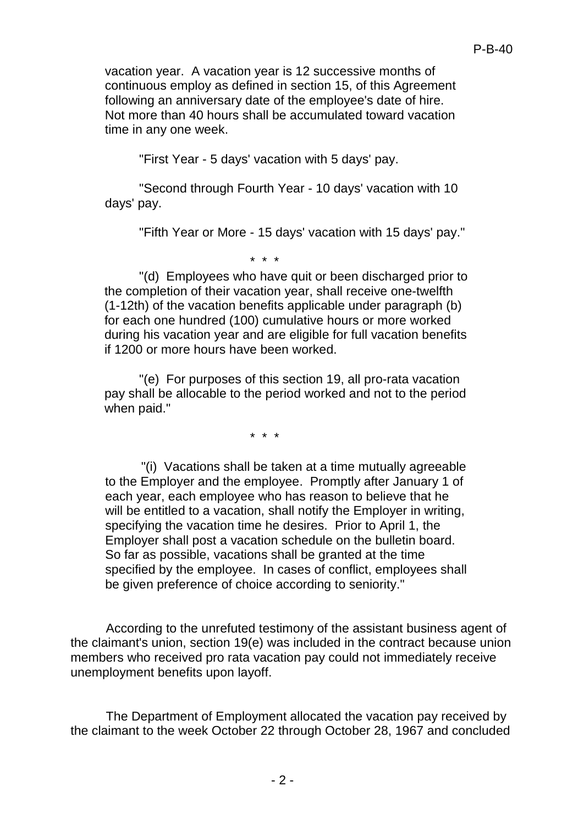vacation year. A vacation year is 12 successive months of continuous employ as defined in section 15, of this Agreement following an anniversary date of the employee's date of hire. Not more than 40 hours shall be accumulated toward vacation time in any one week.

"First Year - 5 days' vacation with 5 days' pay.

"Second through Fourth Year - 10 days' vacation with 10 days' pay.

"Fifth Year or More - 15 days' vacation with 15 days' pay."

\* \* \*

"(d) Employees who have quit or been discharged prior to the completion of their vacation year, shall receive one-twelfth (1-12th) of the vacation benefits applicable under paragraph (b) for each one hundred (100) cumulative hours or more worked during his vacation year and are eligible for full vacation benefits if 1200 or more hours have been worked.

"(e) For purposes of this section 19, all pro-rata vacation pay shall be allocable to the period worked and not to the period when paid."

\* \* \*

"(i) Vacations shall be taken at a time mutually agreeable to the Employer and the employee. Promptly after January 1 of each year, each employee who has reason to believe that he will be entitled to a vacation, shall notify the Employer in writing, specifying the vacation time he desires. Prior to April 1, the Employer shall post a vacation schedule on the bulletin board. So far as possible, vacations shall be granted at the time specified by the employee. In cases of conflict, employees shall be given preference of choice according to seniority."

According to the unrefuted testimony of the assistant business agent of the claimant's union, section 19(e) was included in the contract because union members who received pro rata vacation pay could not immediately receive unemployment benefits upon layoff.

The Department of Employment allocated the vacation pay received by the claimant to the week October 22 through October 28, 1967 and concluded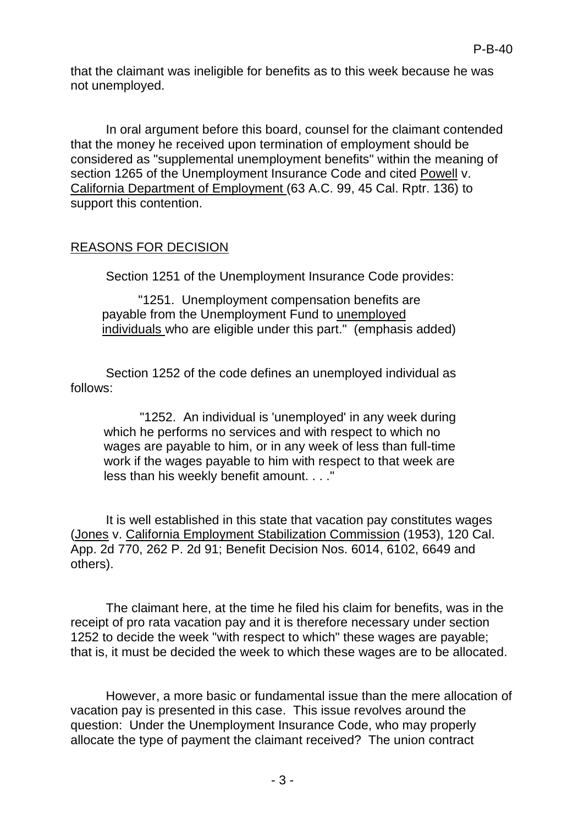that the claimant was ineligible for benefits as to this week because he was not unemployed.

In oral argument before this board, counsel for the claimant contended that the money he received upon termination of employment should be considered as "supplemental unemployment benefits" within the meaning of section 1265 of the Unemployment Insurance Code and cited Powell v. California Department of Employment (63 A.C. 99, 45 Cal. Rptr. 136) to support this contention.

## REASONS FOR DECISION

Section 1251 of the Unemployment Insurance Code provides:

"1251. Unemployment compensation benefits are payable from the Unemployment Fund to unemployed individuals who are eligible under this part." (emphasis added)

Section 1252 of the code defines an unemployed individual as follows:

"1252. An individual is 'unemployed' in any week during which he performs no services and with respect to which no wages are payable to him, or in any week of less than full-time work if the wages payable to him with respect to that week are less than his weekly benefit amount. . . . "

It is well established in this state that vacation pay constitutes wages (Jones v. California Employment Stabilization Commission (1953), 120 Cal. App. 2d 770, 262 P. 2d 91; Benefit Decision Nos. 6014, 6102, 6649 and others).

The claimant here, at the time he filed his claim for benefits, was in the receipt of pro rata vacation pay and it is therefore necessary under section 1252 to decide the week "with respect to which" these wages are payable; that is, it must be decided the week to which these wages are to be allocated.

However, a more basic or fundamental issue than the mere allocation of vacation pay is presented in this case. This issue revolves around the question: Under the Unemployment Insurance Code, who may properly allocate the type of payment the claimant received? The union contract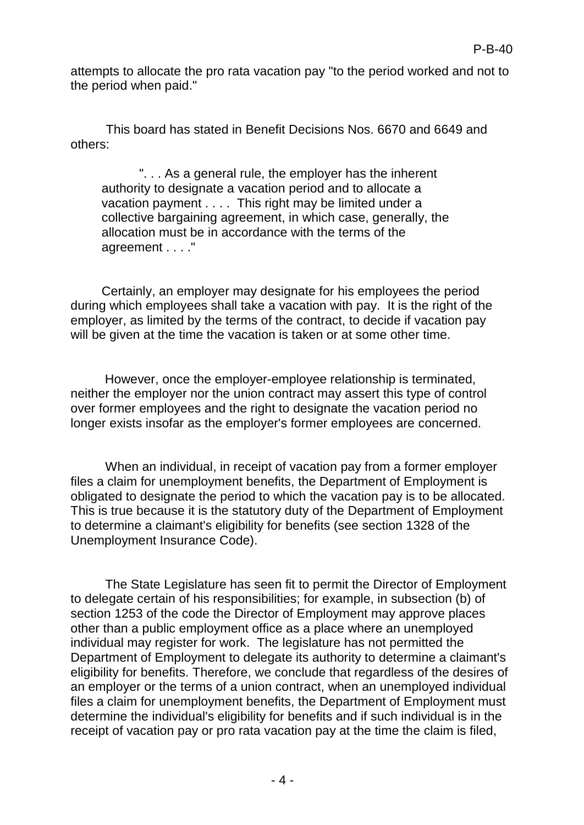attempts to allocate the pro rata vacation pay "to the period worked and not to the period when paid."

This board has stated in Benefit Decisions Nos. 6670 and 6649 and others:

". . . As a general rule, the employer has the inherent authority to designate a vacation period and to allocate a vacation payment . . . . This right may be limited under a collective bargaining agreement, in which case, generally, the allocation must be in accordance with the terms of the agreement . . . ."

Certainly, an employer may designate for his employees the period during which employees shall take a vacation with pay. It is the right of the employer, as limited by the terms of the contract, to decide if vacation pay will be given at the time the vacation is taken or at some other time.

However, once the employer-employee relationship is terminated, neither the employer nor the union contract may assert this type of control over former employees and the right to designate the vacation period no longer exists insofar as the employer's former employees are concerned.

When an individual, in receipt of vacation pay from a former employer files a claim for unemployment benefits, the Department of Employment is obligated to designate the period to which the vacation pay is to be allocated. This is true because it is the statutory duty of the Department of Employment to determine a claimant's eligibility for benefits (see section 1328 of the Unemployment Insurance Code).

The State Legislature has seen fit to permit the Director of Employment to delegate certain of his responsibilities; for example, in subsection (b) of section 1253 of the code the Director of Employment may approve places other than a public employment office as a place where an unemployed individual may register for work. The legislature has not permitted the Department of Employment to delegate its authority to determine a claimant's eligibility for benefits. Therefore, we conclude that regardless of the desires of an employer or the terms of a union contract, when an unemployed individual files a claim for unemployment benefits, the Department of Employment must determine the individual's eligibility for benefits and if such individual is in the receipt of vacation pay or pro rata vacation pay at the time the claim is filed,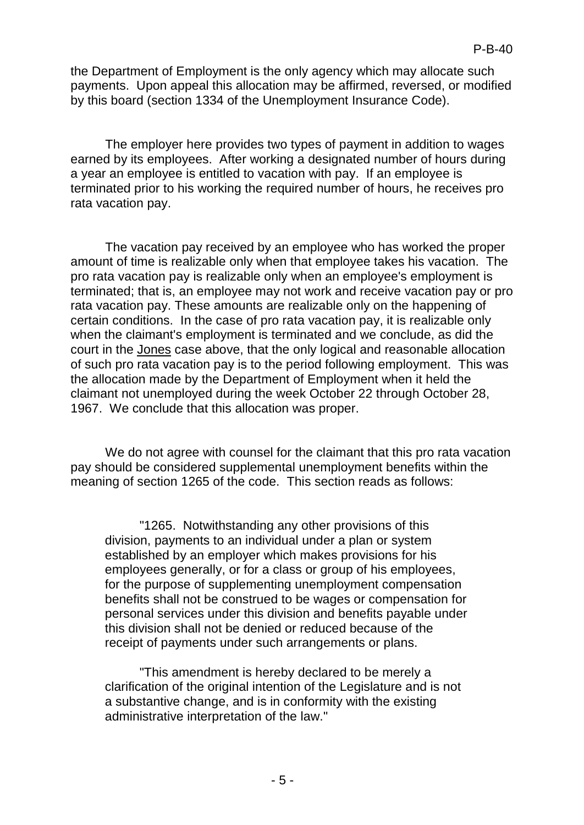the Department of Employment is the only agency which may allocate such payments. Upon appeal this allocation may be affirmed, reversed, or modified by this board (section 1334 of the Unemployment Insurance Code).

The employer here provides two types of payment in addition to wages earned by its employees. After working a designated number of hours during a year an employee is entitled to vacation with pay. If an employee is terminated prior to his working the required number of hours, he receives pro rata vacation pay.

The vacation pay received by an employee who has worked the proper amount of time is realizable only when that employee takes his vacation. The pro rata vacation pay is realizable only when an employee's employment is terminated; that is, an employee may not work and receive vacation pay or pro rata vacation pay. These amounts are realizable only on the happening of certain conditions. In the case of pro rata vacation pay, it is realizable only when the claimant's employment is terminated and we conclude, as did the court in the Jones case above, that the only logical and reasonable allocation of such pro rata vacation pay is to the period following employment. This was the allocation made by the Department of Employment when it held the claimant not unemployed during the week October 22 through October 28, 1967. We conclude that this allocation was proper.

We do not agree with counsel for the claimant that this pro rata vacation pay should be considered supplemental unemployment benefits within the meaning of section 1265 of the code. This section reads as follows:

"1265. Notwithstanding any other provisions of this division, payments to an individual under a plan or system established by an employer which makes provisions for his employees generally, or for a class or group of his employees, for the purpose of supplementing unemployment compensation benefits shall not be construed to be wages or compensation for personal services under this division and benefits payable under this division shall not be denied or reduced because of the receipt of payments under such arrangements or plans.

"This amendment is hereby declared to be merely a clarification of the original intention of the Legislature and is not a substantive change, and is in conformity with the existing administrative interpretation of the law."